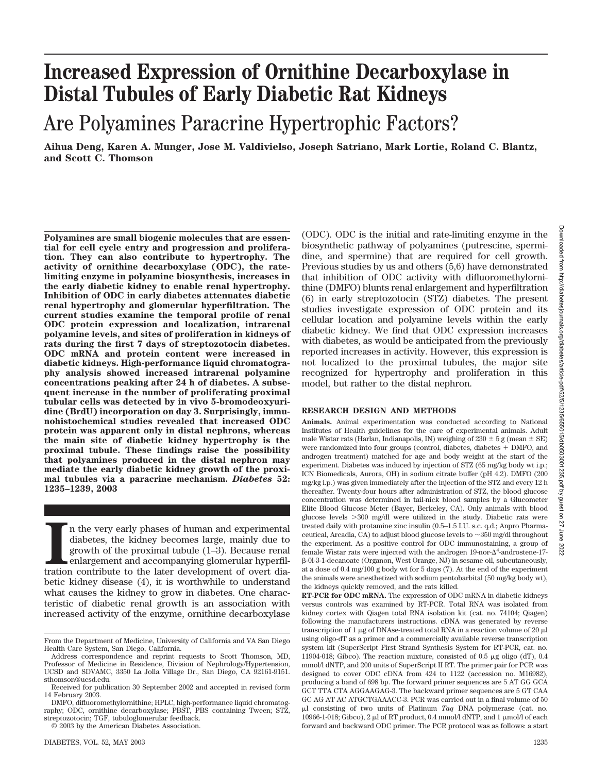# **Increased Expression of Ornithine Decarboxylase in Distal Tubules of Early Diabetic Rat Kidneys**

## Are Polyamines Paracrine Hypertrophic Factors?

**Aihua Deng, Karen A. Munger, Jose M. Valdivielso, Joseph Satriano, Mark Lortie, Roland C. Blantz, and Scott C. Thomson**

**Polyamines are small biogenic molecules that are essential for cell cycle entry and progression and proliferation. They can also contribute to hypertrophy. The activity of ornithine decarboxylase (ODC), the ratelimiting enzyme in polyamine biosynthesis, increases in the early diabetic kidney to enable renal hypertrophy. Inhibition of ODC in early diabetes attenuates diabetic renal hypertrophy and glomerular hyperfiltration. The current studies examine the temporal profile of renal ODC protein expression and localization, intrarenal polyamine levels, and sites of proliferation in kidneys of rats during the first 7 days of streptozotocin diabetes. ODC mRNA and protein content were increased in diabetic kidneys. High-performance liquid chromatography analysis showed increased intrarenal polyamine concentrations peaking after 24 h of diabetes. A subsequent increase in the number of proliferating proximal tubular cells was detected by in vivo 5-bromodeoxyuridine (BrdU) incorporation on day 3. Surprisingly, immunohistochemical studies revealed that increased ODC protein was apparent only in distal nephrons, whereas the main site of diabetic kidney hypertrophy is the proximal tubule. These findings raise the possibility that polyamines produced in the distal nephron may mediate the early diabetic kidney growth of the proximal tubules via a paracrine mechanism.** *Diabetes* **52: 1235–1239, 2003**

In the very early phases of human and experimental diabetes, the kidney becomes large, mainly due to growth of the proximal tubule (1–3). Because renal enlargement and accompanying glomerular hyperfiltration contribute to n the very early phases of human and experimental diabetes, the kidney becomes large, mainly due to growth of the proximal tubule (1–3). Because renal enlargement and accompanying glomerular hyperfilbetic kidney disease (4), it is worthwhile to understand what causes the kidney to grow in diabetes. One characteristic of diabetic renal growth is an association with increased activity of the enzyme, ornithine decarboxylase

© 2003 by the American Diabetes Association.

(ODC). ODC is the initial and rate-limiting enzyme in the biosynthetic pathway of polyamines (putrescine, spermidine, and spermine) that are required for cell growth. Previous studies by us and others (5,6) have demonstrated that inhibition of ODC activity with difluoromethylornithine (DMFO) blunts renal enlargement and hyperfiltration (6) in early streptozotocin (STZ) diabetes. The present studies investigate expression of ODC protein and its cellular location and polyamine levels within the early diabetic kidney. We find that ODC expression increases with diabetes, as would be anticipated from the previously reported increases in activity. However, this expression is not localized to the proximal tubules, the major site recognized for hypertrophy and proliferation in this model, but rather to the distal nephron.

## **RESEARCH DESIGN AND METHODS**

**Animals.** Animal experimentation was conducted according to National Institutes of Health guidelines for the care of experimental animals. Adult male Wistar rats (Harlan, Indianapolis, IN) weighing of  $230 \pm 5$  g (mean  $\pm$  SE) were randomized into four groups (control, diabetes, diabetes + DMFO, and androgen treatment) matched for age and body weight at the start of the experiment. Diabetes was induced by injection of STZ (65 mg/kg body wt i.p.; ICN Biomedicals, Aurora, OH) in sodium citrate buffer (pH 4.2). DMFO (200 mg/kg i.p.) was given immediately after the injection of the STZ and every 12 h thereafter. Twenty-four hours after administration of STZ, the blood glucose concentration was determined in tail-nick blood samples by a Glucometer Elite Blood Glucose Meter (Bayer, Berkeley, CA). Only animals with blood glucose levels 300 mg/dl were utilized in the study. Diabetic rats were treated daily with protamine zinc insulin (0.5–1.5 I.U. s.c. q.d.; Anpro Pharmaceutical, Arcadia, CA) to adjust blood glucose levels to  $\sim$ 350 mg/dl throughout the experiment. As a positive control for ODC immunostaining, a group of female Wistar rats were injected with the androgen  $19$ -nor- $\Delta^4$ -androstene-17--0l-3-1-decanoate (Organon, West Orange, NJ) in sesame oil, subcutaneously, at a dose of 0.4 mg/100 g body wt for 5 days (7). At the end of the experiment the animals were anesthetized with sodium pentobarbital (50 mg/kg body wt), the kidneys quickly removed, and the rats killed.

**RT-PCR for ODC mRNA.** The expression of ODC mRNA in diabetic kidneys versus controls was examined by RT-PCR. Total RNA was isolated from kidney cortex with Qiagen total RNA isolation kit (cat. no. 74104; Qiagen) following the manufacturers instructions. cDNA was generated by reverse transcription of 1  $\mu$ g of DNAse-treated total RNA in a reaction volume of 20  $\mu$ l using oligo-dT as a primer and a commercially available reverse transcription system kit (SuperScript First Strand Synthesis System for RT-PCR, cat. no. 11904-018; Gibco). The reaction mixture, consisted of  $0.5 \mu$ g oligo (dT),  $0.4 \mu$ mmol/l dNTP, and 200 units of SuperScript II RT. The primer pair for PCR was designed to cover ODC cDNA from 424 to 1122 (accession no. M16982), producing a band of 698 bp. The forward primer sequences are 5 AT GG GCA GCT TTA CTA AGGAAGAG-3. The backward primer sequences are 5 GT CAA GC AG AT AC ATGCTGAAACC-3. PCR was carried out in a final volume of 50 l consisting of two units of Platinum *Taq* DNA polymerase (cat. no. 10966-1-018; Gibco), 2  $\mu$  of RT product, 0.4 mmol/l dNTP, and 1  $\mu$ mol/l of each forward and backward ODC primer. The PCR protocol was as follows: a start

From the Department of Medicine, University of California and VA San Diego Health Care System, San Diego, California.

Address correspondence and reprint requests to Scott Thomson, MD, Professor of Medicine in Residence, Division of Nephrology/Hypertension, UCSD and SDVAMC, 3350 La Jolla Village Dr., San Diego, CA 92161-9151. sthomson@ucsd.edu.

Received for publication 30 September 2002 and accepted in revised form 14 February 2003.

DMFO, difluoromethylornithine; HPLC, high-performance liquid chromatography; ODC, ornithine decarboxylase; PBST, PBS containing Tween; STZ, streptozotocin; TGF, tubuloglomerular feedback.

DIABETES, VOL. 52, MAY 2003 1235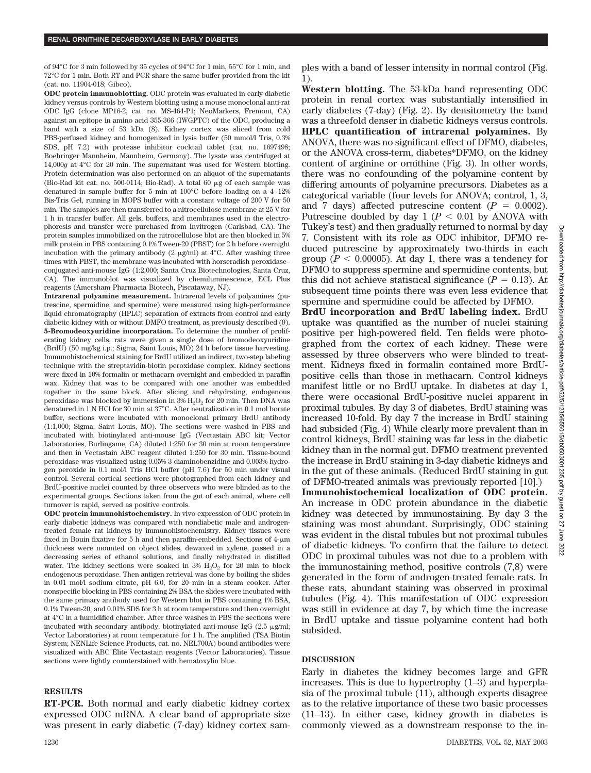of 94°C for 3 min followed by 35 cycles of 94°C for 1 min, 55°C for 1 min, and 72°C for 1 min. Both RT and PCR share the same buffer provided from the kit (cat. no. 11904-018; Gibco).

**ODC protein immunoblotting.** ODC protein was evaluated in early diabetic kidney versus controls by Western blotting using a mouse monoclonal anti-rat ODC IgG (clone MP16-2, cat. no. MS-464-P1; NeoMarkers, Fremont, CA) against an epitope in amino acid 355-366 (IWGPTC) of the ODC, producing a band with a size of 53 kDa (8). Kidney cortex was sliced from cold PBS-perfused kidney and homogenized in lysis buffer (50 mmol/l Tris, 0.3%) SDS, pH 7.2) with protease inhibitor cocktail tablet (cat. no. 1697498; Boehringer Mannheim, Mannheim, Germany). The lysate was centrifuged at 14,000*g* at 4°C for 20 min. The supernatant was used for Western blotting. Protein determination was also performed on an aliquot of the supernatants (Bio-Rad kit cat. no. 500-0114; Bio-Rad). A total 60  $\mu$ g of each sample was denatured in sample buffer for 5 min at 100°C before loading on a 4–12% Bis-Tris Gel, running in MOPS buffer with a constant voltage of 200 V for 50 min. The samples are then transferred to a nitrocellulose membrane at 25 V for 1 h in transfer buffer. All gels, buffers, and membranes used in the electrophoresis and transfer were purchased from Invitrogen (Carlsbad, CA). The protein samples immobilized on the nitrocellulose blot are then blocked in 5% milk protein in PBS containing 0.1% Tween-20 (PBST) for 2 h before overnight incubation with the primary antibody  $(2 \mu g/ml)$  at  $4^{\circ}$ C. After washing three times with PBST, the membrane was incubated with horseradish peroxidase– conjugated anti-mouse IgG (1:2,000; Santa Cruz Biotechnologies, Santa Cruz, CA). The immunoblot was visualized by chemiluminescence, ECL Plus reagents (Amersham Pharmacia Biotech, Piscataway, NJ).

**Intrarenal polyamine measurement.** Intrarenal levels of polyamines (putrescine, spermidine, and spermine) were measured using high-performance liquid chromatography (HPLC) separation of extracts from control and early diabetic kidney with or without DMFO treatment, as previously described (9). **5-Bromodeoxyuridine incorporation.** To determine the number of proliferating kidney cells, rats were given a single dose of bromodeoxyuridine (BrdU) (50 mg/kg i.p.; Sigma, Saint Louis, MO) 24 h before tissue harvesting. Immunohistochemical staining for BrdU utilized an indirect, two-step labeling technique with the streptavidin-biotin peroxidase complex. Kidney sections were fixed in 10% formalin or methacarn overnight and embedded in paraffin wax. Kidney that was to be compared with one another was embedded together in the same block. After slicing and rehydrating, endogenous peroxidase was blocked by immersion in  $3\%$   $H_2O_2$  for  $20$  min. Then DNA was denatured in 1 N HCl for 30 min at 37°C. After neutralization in 0.1 mol borate buffer, sections were incubated with monoclonal primary BrdU antibody (1:1,000; Sigma, Saint Louis, MO). The sections were washed in PBS and incubated with biotinylated anti-mouse IgG (Vectastain ABC kit; Vector Laboratories, Burlingame, CA) diluted 1:250 for 30 min at room temperature and then in Vectastain ABC reagent diluted 1:250 for 30 min. Tissue-bound peroxidase was visualized using 0.05% 3 diaminobenzidine and 0.003% hydrogen peroxide in 0.1 mol/l Tris HCl buffer (pH 7.6) for 50 min under visual control. Several cortical sections were photographed from each kidney and BrdU-positive nuclei counted by three observers who were blinded as to the experimental groups. Sections taken from the gut of each animal, where cell turnover is rapid, served as positive controls.

**ODC protein immunohistochemistry.** In vivo expression of ODC protein in early diabetic kidneys was compared with nondiabetic male and androgentreated female rat kidneys by immunohistochemistry. Kidney tissues were fixed in Bouin fixative for 5 h and then paraffin-embedded. Sections of 4- $\mu$ m thickness were mounted on object slides, dewaxed in xylene, passed in a decreasing series of ethanol solutions, and finally rehydrated in distilled water. The kidney sections were soaked in  $3\%$  H<sub>2</sub>O<sub>2</sub> for 20 min to block endogenous peroxidase. Then antigen retrieval was done by boiling the slides in 0.01 mol/l sodium citrate, pH 6.0, for 20 min in a steam cooker. After nonspecific blocking in PBS containing 2% BSA the slides were incubated with the same primary antibody used for Western blot in PBS containing 1% BSA, 0.1% Tween-20, and 0.01% SDS for 3 h at room temperature and then overnight at 4°C in a humidified chamber. After three washes in PBS the sections were incubated with secondary antibody, biotinylated anti-mouse IgG  $(2.5 \mu g/ml)$ ; Vector Laboratories) at room temperature for 1 h. The amplified (TSA Biotin System; NENLife Science Products, cat. no. NEL700A) bound antibodies were visualized with ABC Elite Vectastain reagents (Vector Laboratories). Tissue sections were lightly counterstained with hematoxylin blue.

## **RESULTS**

**RT-PCR.** Both normal and early diabetic kidney cortex expressed ODC mRNA. A clear band of appropriate size was present in early diabetic (7-day) kidney cortex samples with a band of lesser intensity in normal control (Fig. 1).

**Western blotting.** The 53-kDa band representing ODC protein in renal cortex was substantially intensified in early diabetes (7-day) (Fig. 2). By densitometry the band was a threefold denser in diabetic kidneys versus controls. **HPLC quantification of intrarenal polyamines.** By ANOVA, there was no significant effect of DFMO, diabetes, or the ANOVA cross-term, diabetes\*DFMO, on the kidney content of arginine or ornithine (Fig. 3). In other words, there was no confounding of the polyamine content by differing amounts of polyamine precursors. Diabetes as a categorical variable (four levels for ANOVA; control, 1, 3, and 7 days) affected putrescine content  $(P = 0.0002)$ . Putrescine doubled by day  $1 (P < 0.01)$  by ANOVA with Tukey's test) and then gradually returned to normal by day 7. Consistent with its role as ODC inhibitor, DFMO reduced putrescine by approximately two-thirds in each group ( $P < 0.00005$ ). At day 1, there was a tendency for DFMO to suppress spermine and spermidine contents, but this did not achieve statistical significance  $(P = 0.13)$ . At subsequent time points there was even less evidence that spermine and spermidine could be affected by DFMO.

**BrdU incorporation and BrdU labeling index.** BrdU uptake was quantified as the number of nuclei staining positive per high-powered field. Ten fields were photographed from the cortex of each kidney. These were assessed by three observers who were blinded to treatment. Kidneys fixed in formalin contained more BrdUpositive cells than those in methacarn. Control kidneys manifest little or no BrdU uptake. In diabetes at day 1, there were occasional BrdU-positive nuclei apparent in proximal tubules. By day 3 of diabetes, BrdU staining was increased 10-fold. By day 7 the increase in BrdU staining had subsided (Fig. 4) While clearly more prevalent than in control kidneys, BrdU staining was far less in the diabetic kidney than in the normal gut. DFMO treatment prevented the increase in BrdU staining in 3-day diabetic kidneys and in the gut of these animals. (Reduced BrdU staining in gut of DFMO-treated animals was previously reported [10].)

**Immunohistochemical localization of ODC protein.** An increase in ODC protein abundance in the diabetic kidney was detected by immunostaining. By day 3 the staining was most abundant. Surprisingly, ODC staining was evident in the distal tubules but not proximal tubules of diabetic kidneys. To confirm that the failure to detect ODC in proximal tubules was not due to a problem with the immunostaining method, positive controls (7,8) were generated in the form of androgen-treated female rats. In these rats, abundant staining was observed in proximal tubules (Fig. 4). This manifestation of ODC expression was still in evidence at day 7, by which time the increase in BrdU uptake and tissue polyamine content had both subsided.

## **DISCUSSION**

Early in diabetes the kidney becomes large and GFR increases. This is due to hypertrophy (1–3) and hyperplasia of the proximal tubule (11), although experts disagree as to the relative importance of these two basic processes (11–13). In either case, kidney growth in diabetes is commonly viewed as a downstream response to the in-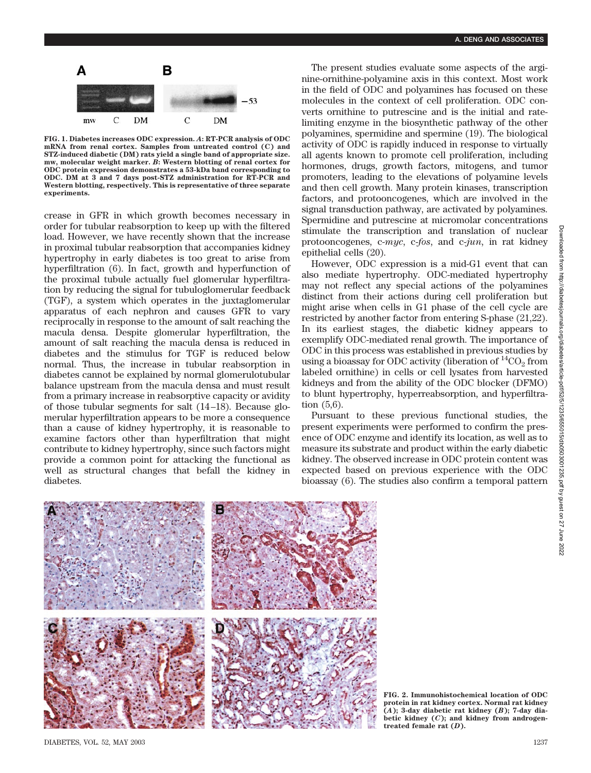

**FIG. 1. Diabetes increases ODC expression.** *A***: RT-PCR analysis of ODC mRNA from renal cortex. Samples from untreated control (C) and STZ-induced diabetic (DM) rats yield a single band of appropriate size. mw, molecular weight marker.** *B***: Western blotting of renal cortex for ODC protein expression demonstrates a 53-kDa band corresponding to ODC. DM at 3 and 7 days post-STZ administration for RT-PCR and Western blotting, respectively. This is representative of three separate experiments.**

crease in GFR in which growth becomes necessary in order for tubular reabsorption to keep up with the filtered load. However, we have recently shown that the increase in proximal tubular reabsorption that accompanies kidney hypertrophy in early diabetes is too great to arise from hyperfiltration (6). In fact, growth and hyperfunction of the proximal tubule actually fuel glomerular hyperfiltration by reducing the signal for tubuloglomerular feedback (TGF), a system which operates in the juxtaglomerular apparatus of each nephron and causes GFR to vary reciprocally in response to the amount of salt reaching the macula densa. Despite glomerular hyperfiltration, the amount of salt reaching the macula densa is reduced in diabetes and the stimulus for TGF is reduced below normal. Thus, the increase in tubular reabsorption in diabetes cannot be explained by normal glomerulotubular balance upstream from the macula densa and must result from a primary increase in reabsorptive capacity or avidity of those tubular segments for salt (14–18). Because glomerular hyperfiltration appears to be more a consequence than a cause of kidney hypertrophy, it is reasonable to examine factors other than hyperfiltration that might contribute to kidney hypertrophy, since such factors might provide a common point for attacking the functional as well as structural changes that befall the kidney in diabetes.

The present studies evaluate some aspects of the arginine-ornithine-polyamine axis in this context. Most work in the field of ODC and polyamines has focused on these molecules in the context of cell proliferation. ODC converts ornithine to putrescine and is the initial and ratelimiting enzyme in the biosynthetic pathway of the other polyamines, spermidine and spermine (19). The biological activity of ODC is rapidly induced in response to virtually all agents known to promote cell proliferation, including hormones, drugs, growth factors, mitogens, and tumor promoters, leading to the elevations of polyamine levels and then cell growth. Many protein kinases, transcription factors, and protooncogenes, which are involved in the signal transduction pathway, are activated by polyamines. Spermidine and putrescine at micromolar concentrations stimulate the transcription and translation of nuclear protooncogenes, c-*myc*, c-*fos*, and c-*jun*, in rat kidney epithelial cells (20).

However, ODC expression is a mid-G1 event that can also mediate hypertrophy. ODC-mediated hypertrophy may not reflect any special actions of the polyamines distinct from their actions during cell proliferation but might arise when cells in G1 phase of the cell cycle are restricted by another factor from entering S-phase (21,22). In its earliest stages, the diabetic kidney appears to exemplify ODC-mediated renal growth. The importance of ODC in this process was established in previous studies by using a bioassay for ODC activity (liberation of  ${}^{14} \text{CO}_2$  from labeled ornithine) in cells or cell lysates from harvested kidneys and from the ability of the ODC blocker (DFMO) to blunt hypertrophy, hyperreabsorption, and hyperfiltration (5,6).

Pursuant to these previous functional studies, the present experiments were performed to confirm the presence of ODC enzyme and identify its location, as well as to measure its substrate and product within the early diabetic kidney. The observed increase in ODC protein content was expected based on previous experience with the ODC bioassay (6). The studies also confirm a temporal pattern



DIABETES, VOL. 52, MAY 2003 1237

**FIG. 2. Immunohistochemical location of ODC protein in rat kidney cortex. Normal rat kidney (***A***); 3-day diabetic rat kidney (***B***); 7-day diabetic kidney (***C***); and kidney from androgentreated female rat (***D***).**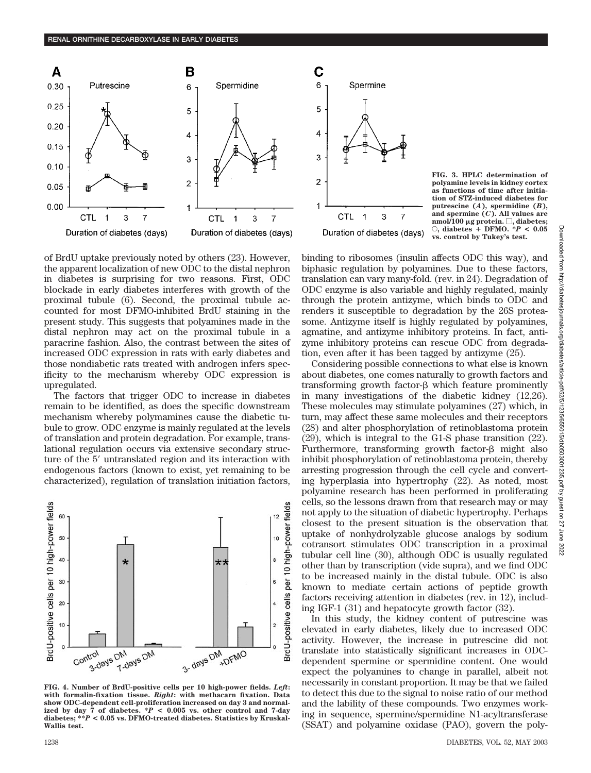

С 6 Spermine 5 4 3  $\overline{a}$ 1 **CTL** 3  $\mathbf{1}$ 7 Duration of diabetes (days)

**FIG. 3. HPLC determination of polyamine levels in kidney cortex as functions of time after initiation of STZ-induced diabetes for putrescine (***A***), spermidine (***B***), and spermine (***C***). All values are nmol/100 g protein. , diabetes;**  $\circ$ , diabetes + DFMO. \* $P < 0.05$ **vs. control by Tukey's test.**

of BrdU uptake previously noted by others (23). However, the apparent localization of new ODC to the distal nephron in diabetes is surprising for two reasons. First, ODC blockade in early diabetes interferes with growth of the proximal tubule (6). Second, the proximal tubule accounted for most DFMO-inhibited BrdU staining in the present study. This suggests that polyamines made in the distal nephron may act on the proximal tubule in a paracrine fashion. Also, the contrast between the sites of increased ODC expression in rats with early diabetes and those nondiabetic rats treated with androgen infers specificity to the mechanism whereby ODC expression is upregulated.

The factors that trigger ODC to increase in diabetes remain to be identified, as does the specific downstream mechanism whereby polymamines cause the diabetic tubule to grow. ODC enzyme is mainly regulated at the levels of translation and protein degradation. For example, translational regulation occurs via extensive secondary structure of the 5' untranslated region and its interaction with endogenous factors (known to exist, yet remaining to be characterized), regulation of translation initiation factors,



**FIG. 4. Number of BrdU-positive cells per 10 high-power fields.** *Left***: with formalin-fixation tissue.** *Right***: with methacarn fixation. Data show ODC-dependent cell-proliferation increased on day 3 and normalized by day 7 of diabetes. \****P* **< 0.005 vs. other control and 7-day diabetes; \*\****P* **< 0.05 vs. DFMO-treated diabetes. Statistics by Kruskal-Wallis test.**

binding to ribosomes (insulin affects ODC this way), and biphasic regulation by polyamines. Due to these factors, translation can vary many-fold. (rev. in 24). Degradation of ODC enzyme is also variable and highly regulated, mainly through the protein antizyme, which binds to ODC and renders it susceptible to degradation by the 26S proteasome. Antizyme itself is highly regulated by polyamines, agmatine, and antizyme inhibitory proteins. In fact, antizyme inhibitory proteins can rescue ODC from degradation, even after it has been tagged by antizyme (25).

Considering possible connections to what else is known about diabetes, one comes naturally to growth factors and transforming growth factor- $\beta$  which feature prominently in many investigations of the diabetic kidney (12,26). These molecules may stimulate polyamines (27) which, in turn, may affect these same molecules and their receptors (28) and alter phosphorylation of retinoblastoma protein (29), which is integral to the G1-S phase transition (22). Furthermore, transforming growth factor- $\beta$  might also inhibit phosphorylation of retinoblastoma protein, thereby arresting progression through the cell cycle and converting hyperplasia into hypertrophy (22). As noted, most polyamine research has been performed in proliferating cells, so the lessons drawn from that research may or may not apply to the situation of diabetic hypertrophy. Perhaps closest to the present situation is the observation that uptake of nonhydrolyzable glucose analogs by sodium cotransort stimulates ODC transcription in a proximal tubular cell line (30), although ODC is usually regulated other than by transcription (vide supra), and we find ODC to be increased mainly in the distal tubule. ODC is also known to mediate certain actions of peptide growth factors receiving attention in diabetes (rev. in 12), including IGF-1 (31) and hepatocyte growth factor (32).

In this study, the kidney content of putrescine was elevated in early diabetes, likely due to increased ODC activity. However, the increase in putrescine did not translate into statistically significant increases in ODCdependent spermine or spermidine content. One would expect the polyamines to change in parallel, albeit not necessarily in constant proportion. It may be that we failed to detect this due to the signal to noise ratio of our method and the lability of these compounds. Two enzymes working in sequence, spermine/spermidine N1-acyltransferase (SSAT) and polyamine oxidase (PAO), govern the poly